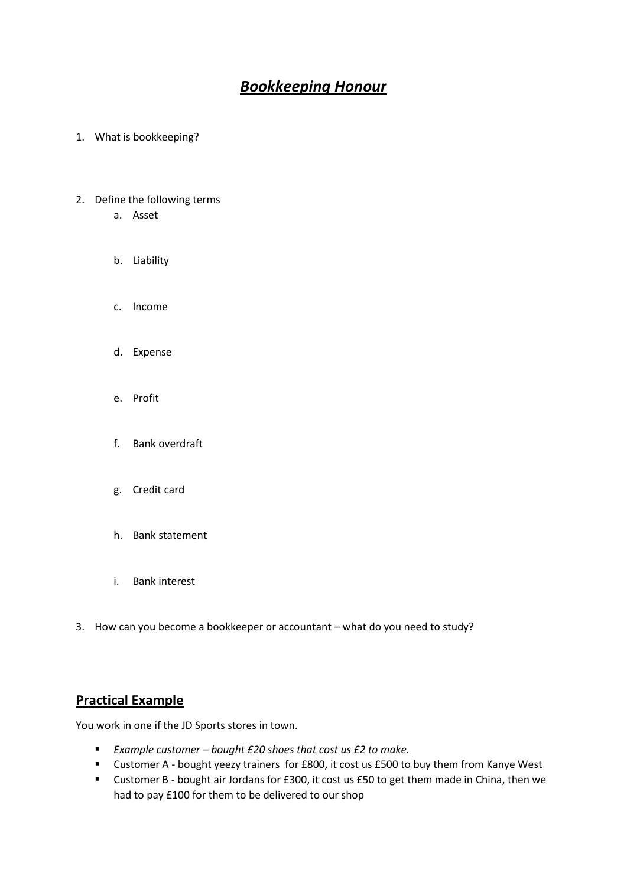# *Bookkeeping Honour*

- 1. What is bookkeeping?
- 2. Define the following terms
	- a. Asset
	- b. Liability
	- c. Income
	- d. Expense
	- e. Profit
	- f. Bank overdraft
	- g. Credit card
	- h. Bank statement
	- i. Bank interest
- 3. How can you become a bookkeeper or accountant what do you need to study?

## **Practical Example**

You work in one if the JD Sports stores in town.

- *Example customer – bought £20 shoes that cost us £2 to make.*
- Customer A bought yeezy trainers for £800, it cost us £500 to buy them from Kanye West
- Customer B bought air Jordans for £300, it cost us £50 to get them made in China, then we had to pay £100 for them to be delivered to our shop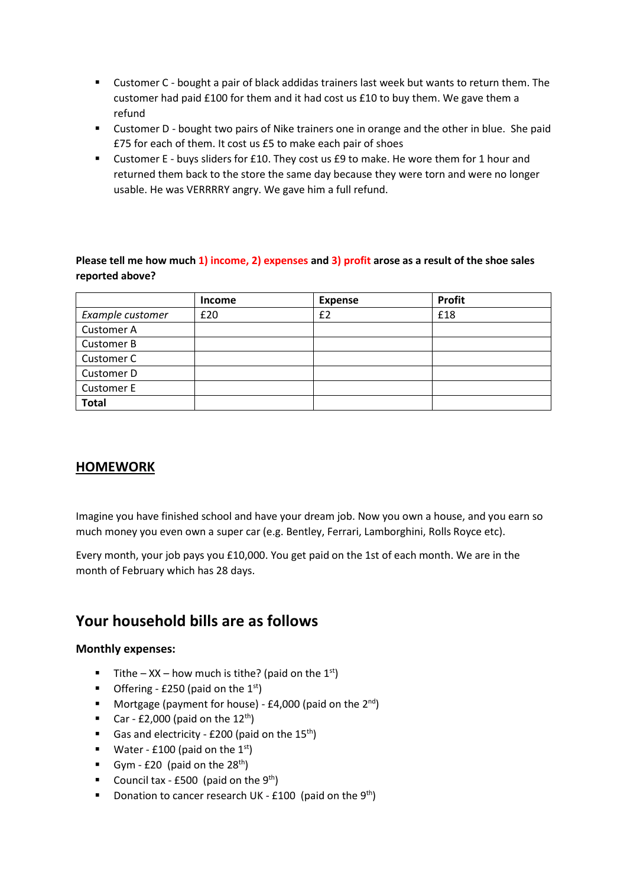- Customer C bought a pair of black addidas trainers last week but wants to return them. The customer had paid £100 for them and it had cost us £10 to buy them. We gave them a refund
- Customer D bought two pairs of Nike trainers one in orange and the other in blue. She paid £75 for each of them. It cost us £5 to make each pair of shoes
- Customer E buys sliders for £10. They cost us £9 to make. He wore them for 1 hour and returned them back to the store the same day because they were torn and were no longer usable. He was VERRRRY angry. We gave him a full refund.

### **Please tell me how much 1) income, 2) expenses and 3) profit arose as a result of the shoe sales reported above?**

|                   | <b>Income</b> | <b>Expense</b> | <b>Profit</b> |
|-------------------|---------------|----------------|---------------|
| Example customer  | £20           | £2             | £18           |
| <b>Customer A</b> |               |                |               |
| <b>Customer B</b> |               |                |               |
| Customer C        |               |                |               |
| Customer D        |               |                |               |
| <b>Customer E</b> |               |                |               |
| <b>Total</b>      |               |                |               |

## **HOMEWORK**

Imagine you have finished school and have your dream job. Now you own a house, and you earn so much money you even own a super car (e.g. Bentley, Ferrari, Lamborghini, Rolls Royce etc).

Every month, your job pays you £10,000. You get paid on the 1st of each month. We are in the month of February which has 28 days.

## **Your household bills are as follows**

### **Monthly expenses:**

- **Tithe XX how much is tithe?** (paid on the  $1^{st}$ )
- Offering £250 (paid on the  $1<sup>st</sup>$ )
- Mortgage (payment for house) £4,000 (paid on the  $2^{nd}$ )
- Car £2,000 (paid on the  $12^{th}$ )
- Gas and electricity £200 (paid on the  $15^{th}$ )
- Water £100 (paid on the  $1<sup>st</sup>$ )
- Gym £20 (paid on the  $28<sup>th</sup>$ )
- Council tax £500 (paid on the  $9<sup>th</sup>$ )
- Donation to cancer research UK £100 (paid on the  $9<sup>th</sup>$ )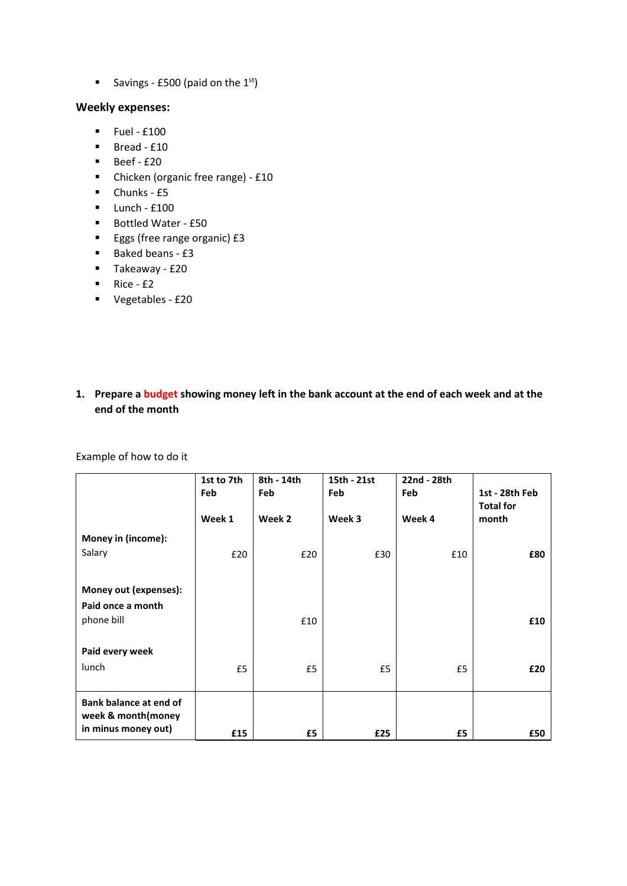Savings - £500 (paid on the  $1<sup>st</sup>$ )

#### **Weekly expenses:**

- $\blacksquare$  Fuel £100
- $\blacksquare$  Bread £10
- $\blacksquare$  Beef £20
- Chicken (organic free range) £10
- $\blacksquare$  Chunks £5
- $\blacksquare$  Lunch £100
- Bottled Water £50
- Eggs (free range organic) £3
- Baked beans £3
- Takeaway £20
- $\blacksquare$  Rice £2
- Vegetables £20

### **1. Prepare a budget showing money left in the bank account at the end of each week and at the end of the month**

Example of how to do it

|                        | 1st to 7th | 8th - 14th    | 15th - 21st | 22nd - 28th   |                                    |
|------------------------|------------|---------------|-------------|---------------|------------------------------------|
|                        | Feb        | Feb<br>Week 2 | Feb         | Feb<br>Week 4 | 1st - 28th Feb<br><b>Total for</b> |
|                        | Week 1     |               | Week 3      |               | month                              |
| Money in (income):     |            |               |             |               |                                    |
| Salary                 | £20        | £20           | £30         | £10           | £80                                |
|                        |            |               |             |               |                                    |
| Money out (expenses):  |            |               |             |               |                                    |
| Paid once a month      |            |               |             |               |                                    |
| phone bill             |            | £10           |             |               |                                    |
|                        |            |               |             |               | £10                                |
|                        |            |               |             |               |                                    |
| Paid every week        |            |               |             |               |                                    |
| lunch                  | £5         | £5            | £5          | £5            | £20                                |
|                        |            |               |             |               |                                    |
| Bank balance at end of |            |               |             |               |                                    |
| week & month(money     |            |               |             |               |                                    |
| in minus money out)    | £15        | £5            | £25         | £5            | £50                                |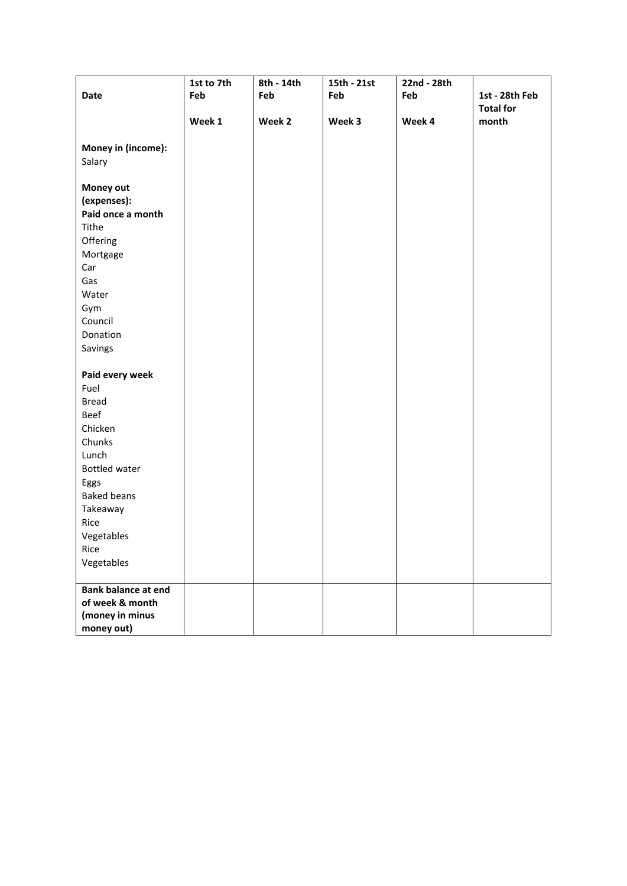| <b>Date</b>                | 1st to 7th<br>Feb | 8th - 14th<br>Feb | 15th - 21st<br>Feb | 22nd - 28th<br>Feb | 1st - 28th Feb   |
|----------------------------|-------------------|-------------------|--------------------|--------------------|------------------|
|                            |                   |                   |                    |                    | <b>Total for</b> |
|                            | Week 1            | Week 2            | Week 3             | Week 4             | month            |
| Money in (income):         |                   |                   |                    |                    |                  |
| Salary                     |                   |                   |                    |                    |                  |
| Money out                  |                   |                   |                    |                    |                  |
| (expenses):                |                   |                   |                    |                    |                  |
| Paid once a month          |                   |                   |                    |                    |                  |
| Tithe                      |                   |                   |                    |                    |                  |
| Offering                   |                   |                   |                    |                    |                  |
| Mortgage                   |                   |                   |                    |                    |                  |
| Car                        |                   |                   |                    |                    |                  |
| Gas                        |                   |                   |                    |                    |                  |
| Water                      |                   |                   |                    |                    |                  |
| Gym                        |                   |                   |                    |                    |                  |
| Council                    |                   |                   |                    |                    |                  |
| Donation                   |                   |                   |                    |                    |                  |
| Savings                    |                   |                   |                    |                    |                  |
|                            |                   |                   |                    |                    |                  |
| Paid every week            |                   |                   |                    |                    |                  |
| Fuel                       |                   |                   |                    |                    |                  |
| <b>Bread</b>               |                   |                   |                    |                    |                  |
| Beef                       |                   |                   |                    |                    |                  |
| Chicken                    |                   |                   |                    |                    |                  |
| Chunks                     |                   |                   |                    |                    |                  |
| Lunch                      |                   |                   |                    |                    |                  |
| <b>Bottled water</b>       |                   |                   |                    |                    |                  |
| Eggs                       |                   |                   |                    |                    |                  |
| <b>Baked beans</b>         |                   |                   |                    |                    |                  |
| Takeaway                   |                   |                   |                    |                    |                  |
| Rice                       |                   |                   |                    |                    |                  |
| Vegetables                 |                   |                   |                    |                    |                  |
| Rice                       |                   |                   |                    |                    |                  |
| Vegetables                 |                   |                   |                    |                    |                  |
| <b>Bank balance at end</b> |                   |                   |                    |                    |                  |
| of week & month            |                   |                   |                    |                    |                  |
| (money in minus            |                   |                   |                    |                    |                  |
| money out)                 |                   |                   |                    |                    |                  |